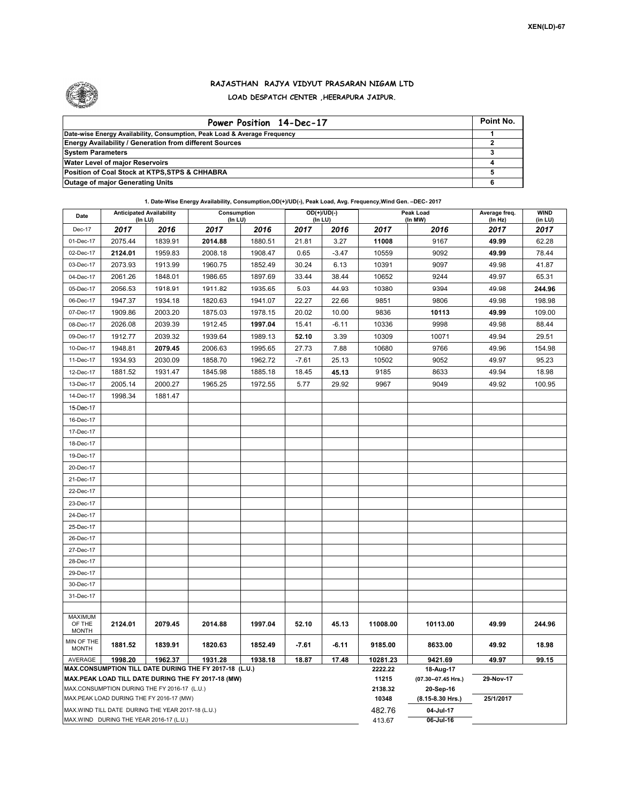

## **RAJASTHAN RAJYA VIDYUT PRASARAN NIGAM LTD LOAD DESPATCH CENTER ,HEERAPURA JAIPUR.**

| Power Position 14-Dec-17                                                  | Point No. |
|---------------------------------------------------------------------------|-----------|
| Date-wise Energy Availability, Consumption, Peak Load & Average Frequency |           |
| <b>Energy Availability / Generation from different Sources</b>            |           |
| <b>System Parameters</b>                                                  |           |
| <b>Water Level of major Reservoirs</b>                                    |           |
| Position of Coal Stock at KTPS, STPS & CHHABRA                            |           |
| <b>Outage of major Generating Units</b>                                   |           |

**1. Date-Wise Energy Availability, Consumption,OD(+)/UD(-), Peak Load, Avg. Frequency,Wind Gen. –DEC- 2017**

| Date                                                                                               | <b>Anticipated Availability</b><br>$($ In LU $)$ |                                                    |                                                        | $OD(+)/UD(-)$<br>Consumption<br>(In LU)<br>$($ In LU $)$ |                                  |           |                  | Peak Load<br>(In MW) | Average freq.<br>(ln Hz) | <b>WIND</b><br>(in LU) |  |
|----------------------------------------------------------------------------------------------------|--------------------------------------------------|----------------------------------------------------|--------------------------------------------------------|----------------------------------------------------------|----------------------------------|-----------|------------------|----------------------|--------------------------|------------------------|--|
| Dec-17                                                                                             | 2017                                             | 2016                                               | 2017                                                   | 2016<br>2017<br>2016                                     |                                  | 2017      | 2016             | 2017                 | 2017                     |                        |  |
| 01-Dec-17                                                                                          | 2075.44                                          | 1839.91                                            | 2014.88                                                | 1880.51                                                  | 21.81                            | 3.27      | 11008            | 9167                 | 49.99                    | 62.28                  |  |
| 02-Dec-17                                                                                          | 2124.01                                          | 1959.83                                            | 2008.18                                                | 1908.47                                                  | 0.65                             | $-3.47$   | 10559            | 9092                 | 49.99                    | 78.44                  |  |
| 03-Dec-17                                                                                          | 2073.93                                          | 1913.99                                            | 1960.75                                                | 1852.49                                                  | 30.24                            | 6.13      | 10391            | 9097                 | 49.98                    | 41.87                  |  |
| 04-Dec-17                                                                                          | 2061.26                                          | 1848.01                                            | 1986.65                                                | 1897.69                                                  | 33.44                            | 38.44     | 10652            | 9244                 | 49.97                    | 65.31                  |  |
| 05-Dec-17                                                                                          | 2056.53                                          | 1918.91                                            | 1911.82                                                | 1935.65                                                  | 5.03                             | 44.93     | 10380            | 9394                 | 49.98                    | 244.96                 |  |
| 06-Dec-17                                                                                          | 1947.37                                          | 1934.18                                            | 1820.63                                                | 1941.07                                                  | 22.27                            | 22.66     | 9851             | 9806                 | 49.98                    | 198.98                 |  |
| 07-Dec-17                                                                                          | 1909.86                                          | 2003.20                                            | 1875.03                                                | 1978.15                                                  | 20.02                            | 10.00     | 9836             | 10113                | 49.99                    | 109.00                 |  |
| 08-Dec-17<br>2026.08<br>2039.39                                                                    |                                                  |                                                    | 1912.45                                                | 1997.04                                                  | 15.41                            | $-6.11$   | 10336            | 9998                 | 49.98                    | 88.44                  |  |
| 09-Dec-17                                                                                          | 1912.77                                          | 2039.32                                            | 1939.64                                                | 1989.13                                                  | 52.10                            | 3.39      | 10309            | 10071                | 49.94                    | 29.51                  |  |
| 10-Dec-17                                                                                          | 1948.81                                          | 2079.45                                            | 2006.63                                                | 1995.65                                                  | 27.73                            | 7.88      | 10680            | 9766                 | 49.96                    | 154.98                 |  |
| 11-Dec-17                                                                                          | 1934.93                                          | 2030.09                                            | 1858.70                                                | 1962.72                                                  | $-7.61$                          | 25.13     | 10502            | 9052                 | 49.97                    | 95.23                  |  |
| 12-Dec-17                                                                                          | 1931.47<br>1881.52                               |                                                    | 1845.98                                                | 1885.18                                                  | 18.45                            | 45.13     | 9185             | 8633                 | 49.94                    | 18.98                  |  |
| 13-Dec-17                                                                                          | 2005.14                                          | 2000.27                                            | 1965.25                                                | 1972.55                                                  | 5.77                             | 29.92     | 9967             | 9049                 | 49.92                    | 100.95                 |  |
| 14-Dec-17                                                                                          | 1998.34                                          | 1881.47                                            |                                                        |                                                          |                                  |           |                  |                      |                          |                        |  |
| 15-Dec-17                                                                                          |                                                  |                                                    |                                                        |                                                          |                                  |           |                  |                      |                          |                        |  |
| 16-Dec-17                                                                                          |                                                  |                                                    |                                                        |                                                          |                                  |           |                  |                      |                          |                        |  |
| 17-Dec-17                                                                                          |                                                  |                                                    |                                                        |                                                          |                                  |           |                  |                      |                          |                        |  |
| 18-Dec-17                                                                                          |                                                  |                                                    |                                                        |                                                          |                                  |           |                  |                      |                          |                        |  |
| 19-Dec-17                                                                                          |                                                  |                                                    |                                                        |                                                          |                                  |           |                  |                      |                          |                        |  |
| 20-Dec-17                                                                                          |                                                  |                                                    |                                                        |                                                          |                                  |           |                  |                      |                          |                        |  |
| 21-Dec-17                                                                                          |                                                  |                                                    |                                                        |                                                          |                                  |           |                  |                      |                          |                        |  |
| 22-Dec-17                                                                                          |                                                  |                                                    |                                                        |                                                          |                                  |           |                  |                      |                          |                        |  |
| 23-Dec-17                                                                                          |                                                  |                                                    |                                                        |                                                          |                                  |           |                  |                      |                          |                        |  |
| 24-Dec-17                                                                                          |                                                  |                                                    |                                                        |                                                          |                                  |           |                  |                      |                          |                        |  |
| 25-Dec-17                                                                                          |                                                  |                                                    |                                                        |                                                          |                                  |           |                  |                      |                          |                        |  |
| 26-Dec-17                                                                                          |                                                  |                                                    |                                                        |                                                          |                                  |           |                  |                      |                          |                        |  |
| 27-Dec-17                                                                                          |                                                  |                                                    |                                                        |                                                          |                                  |           |                  |                      |                          |                        |  |
| 28-Dec-17                                                                                          |                                                  |                                                    |                                                        |                                                          |                                  |           |                  |                      |                          |                        |  |
| 29-Dec-17                                                                                          |                                                  |                                                    |                                                        |                                                          |                                  |           |                  |                      |                          |                        |  |
| 30-Dec-17                                                                                          |                                                  |                                                    |                                                        |                                                          |                                  |           |                  |                      |                          |                        |  |
| 31-Dec-17                                                                                          |                                                  |                                                    |                                                        |                                                          |                                  |           |                  |                      |                          |                        |  |
| <b>MAXIMUM</b>                                                                                     |                                                  |                                                    |                                                        |                                                          |                                  |           |                  |                      |                          |                        |  |
| OF THE<br><b>MONTH</b>                                                                             | 2124.01                                          | 2079.45                                            | 2014.88                                                | 1997.04                                                  | 52.10                            | 45.13     | 11008.00         | 10113.00             | 49.99                    | 244.96                 |  |
| MIN OF THE<br><b>MONTH</b>                                                                         | 1881.52                                          | 1839.91                                            | 1820.63                                                | 1852.49                                                  | $-7.61$                          | $-6.11$   | 9185.00          | 8633.00              | 49.92                    | 18.98                  |  |
| AVERAGE                                                                                            | 1998.20                                          | 1962.37                                            | 1931.28                                                | 1938.18                                                  | 18.87                            | 17.48     | 10281.23         | 9421.69              | 49.97                    | 99.15                  |  |
|                                                                                                    |                                                  |                                                    | MAX.CONSUMPTION TILL DATE DURING THE FY 2017-18 (L.U.) | 2222.22<br>11215                                         | 18-Aug-17<br>(07.30--07.45 Hrs.) | 29-Nov-17 |                  |                      |                          |                        |  |
| MAX.PEAK LOAD TILL DATE DURING THE FY 2017-18 (MW)<br>MAX.CONSUMPTION DURING THE FY 2016-17 (L.U.) |                                                  |                                                    |                                                        |                                                          |                                  |           |                  | 20-Sep-16            |                          |                        |  |
|                                                                                                    |                                                  | MAX.PEAK LOAD DURING THE FY 2016-17 (MW)           |                                                        |                                                          |                                  |           | 2138.32<br>10348 | (8.15-8.30 Hrs.)     | 25/1/2017                |                        |  |
|                                                                                                    |                                                  | MAX. WIND TILL DATE DURING THE YEAR 2017-18 (L.U.) |                                                        |                                                          |                                  |           | 482.76           | 04-Jul-17            |                          |                        |  |
| MAX.WIND DURING THE YEAR 2016-17 (L.U.)                                                            |                                                  |                                                    |                                                        |                                                          |                                  |           |                  | 06-Jul-16            |                          |                        |  |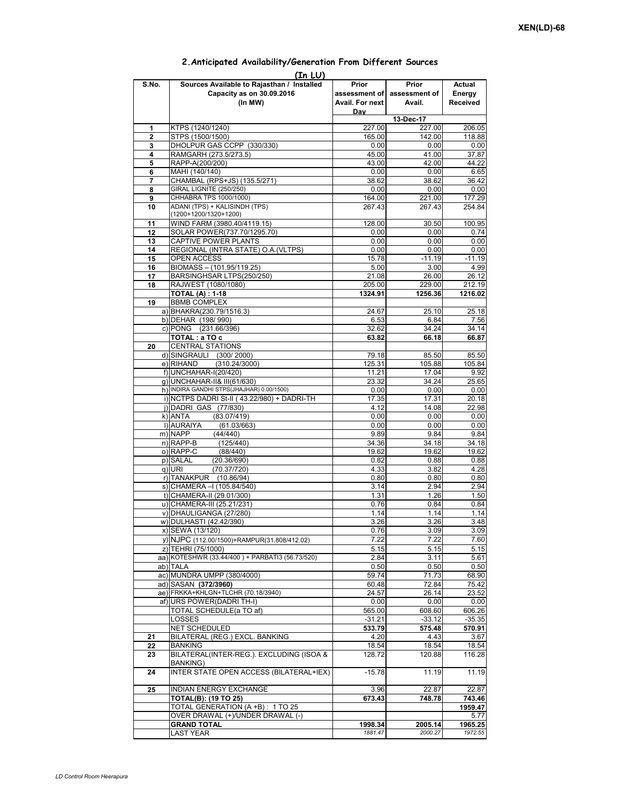|              | (In LUI)                                        |                 |               |          |
|--------------|-------------------------------------------------|-----------------|---------------|----------|
| S.No.        | Sources Available to Rajasthan / Installed      | Prior           | Prior         | Actual   |
|              | Capacity as on 30.09.2016                       | assessment of   | assessment of | Energy   |
|              | (In MW)                                         | Avail. For next | Avail.        | Received |
|              |                                                 | Dav             |               |          |
|              |                                                 |                 | 13-Dec-17     |          |
| 1            | KTPS (1240/1240)                                | 227.00          | 227.00        | 206.05   |
|              |                                                 |                 |               |          |
| $\mathbf{2}$ | STPS (1500/1500)                                | 165.00          | 142.00        | 118.88   |
| 3            | DHOLPUR GAS CCPP (330/330)                      | 0.00            | 0.00          | 0.00     |
| 4            | RAMGARH (273.5/273.5)                           | 45.00           | 41.00         | 37.87    |
| 5            | RAPP-A(200/200)                                 | 43.00           | 42.00         | 44.22    |
| 6            | MAHI (140/140)                                  | 0.00            | 0.00          | 6.65     |
| 7            | CHAMBAL (RPS+JS) (135.5/271)                    | 38.62           | 38.62         | 36.42    |
| 8            | <b>GIRAL LIGNITE (250/250)</b>                  | 0.00            | 0.00          | 0.00     |
| 9            | CHHABRA TPS 1000/1000)                          | 164.00          | 221.00        | 177.29   |
|              | ADANI (TPS) + KALISINDH (TPS)                   | 267.43          | 267.43        | 254.84   |
| 10           | (1200+1200/1320+1200)                           |                 |               |          |
|              |                                                 |                 |               |          |
| 11           | WIND FARM (3980.40/4119.15)                     | 128.00          | 30.50         | 100.95   |
| 12           | SOLAR POWER(737.70/1295.70)                     | 0.00            | 0.00          | 0.74     |
| 13           | CAPTIVE POWER PLANTS                            | 0.00            | 0.00          | 0.00     |
| 14           | REGIONAL (INTRA STATE) O.A. (VLTPS)             | 0.00            | 0.00          | 0.00     |
| 15           | <b>OPEN ACCESS</b>                              | 15.78           | $-11.19$      | $-11.19$ |
| 16           | BIOMASS - (101.95/119.25)                       | 5.00            | 3.00          | 4.99     |
| 17           | BARSINGHSAR LTPS(250/250)                       | 21.08           | 26.00         | 26.12    |
| 18           | RAJWEST (1080/1080)                             | 205.00          | 229.00        | 212.19   |
|              | <b>TOTAL (A): 1-18</b>                          |                 |               |          |
|              |                                                 | 1324.91         | 1256.36       | 1216.02  |
| 19           | <b>BBMB COMPLEX</b>                             |                 |               |          |
|              | a) BHAKRA(230.79/1516.3)                        | 24.67           | 25.10         | 25.18    |
|              | b) DEHAR (198/990)                              | 6.53            | 6.84          | 7.56     |
|              | c) PONG (231.66/396)                            | 32.62           | 34.24         | 34.14    |
|              | TOTAL : a TO c                                  | 63.82           | 66.18         | 66.87    |
| 20           | <b>CENTRAL STATIONS</b>                         |                 |               |          |
|              | d) SINGRAULI (300/2000)                         | 79.18           | 85.50         | 85.50    |
|              | e) RIHAND<br>(310.24/3000)                      | 125.31          | 105.88        | 105.84   |
|              |                                                 |                 |               |          |
|              | f) UNCHAHAR-I(20/420)                           | 11.21           | 17.04         | 9.92     |
|              | q) UNCHAHAR-II& III(61/630)                     | 23.32           | 34.24         | 25.65    |
|              | h) INDIRA GANDHI STPS(JHAJHAR) 0.00/1500)       | 0.00            | 0.00          | 0.00     |
|              | i) NCTPS DADRI St-II (43.22/980) + DADRI-TH     | 17.35           | 17.31         | 20.18    |
|              | j) DADRI GAS (77/830)                           | 4.12            | 14.08         | 22.98    |
|              | k) ANTA<br>(83.07/419)                          | 0.00            | 0.00          | 0.00     |
|              | I) AURAIYA<br>(61.03/663)                       | 0.00            | 0.00          | 0.00     |
|              | m) NAPP<br>(44/440)                             | 9.89            | 9.84          | 9.84     |
|              |                                                 |                 |               |          |
|              | n) RAPP-B<br>(125/440)                          | 34.36           | 34.18         | 34.18    |
|              | o) RAPP-C<br>(88/440)                           | 19.62           | 19.62         | 19.62    |
|              | p) SALAL<br>(20.36/690)                         | 0.82            | 0.88          | 0.88     |
|              | (70.37/720)<br>q) URI                           | 4.33            | 3.82          | 4.28     |
|              | r) TANAKPUR (10.86/94)                          | 0.80            | 0.80          | 0.80     |
|              | s) CHAMERA - (105.84/540)                       | 3.14            | 2.94          | 2.94     |
|              | t) CHAMERA-II (29.01/300)                       | 1.31            | 1.26          | 1.50     |
|              | u) CHAMERA-III (25.21/231)                      | 0.76            | 0.84          | 0.84     |
|              | v) DHAULIGANGA (27/280)                         | 1.14            | 1.14          | 1.14     |
|              |                                                 |                 |               |          |
|              | w) DULHASTI (42.42/390)                         | 3.26            | 3.26          | 3.48     |
|              | x) SEWA (13/120)                                | 0.76            | 3.09          | 3.09     |
|              | y) NJPC (112.00/1500) + RAMPUR(31.808/412.02)   | 7.22            | 7.22          | 7.60     |
|              | z) TEHRI (75/1000)                              | 5.15            | 5.15          | 5.15     |
|              | aa) KOTESHWR (33.44/400) + PARBATI3 (56.73/520) | 2.84            | 3.11          | 5.61     |
|              | ab) TALA                                        | 0.50            | 0.50          | 0.50     |
|              | ac) MUNDRA UMPP (380/4000)                      | 59.74           | 71.73         | 68.90    |
|              |                                                 |                 |               |          |
|              | ad) SASAN (372/3960)                            | 60.48           | 72.84         | 75.42    |
|              | ae) FRKKA+KHLGN+TLCHR (70.18/3940)              | 24.57           | 26.14         | 23.52    |
|              | af) URS POWER(DADRI TH-I)                       | 0.00            | 0.00          | 0.00     |
|              | TOTAL SCHEDULE(a TO af)                         | 565.00          | 608.60        | 606.26   |
|              | LOSSES                                          | $-31.21$        | $-33.12$      | $-35.35$ |
|              | NET SCHEDULED                                   | 533.79          | 575.48        | 570.91   |
| 21           | BILATERAL (REG.) EXCL. BANKING                  | 4.20            | 4.43          | 3.67     |
|              | BANKING                                         | 18.54           | 18.54         | 18.54    |
| 22           |                                                 |                 |               |          |
| 23           | BILATERAL(INTER-REG.). EXCLUDING (ISOA &        | 128.72          | 120.88        | 116.28   |
|              | <b>BANKING)</b>                                 |                 |               |          |
| 24           | INTER STATE OPEN ACCESS (BILATERAL+IEX)         | $-15.78$        | 11.19         | 11.19    |
|              |                                                 |                 |               |          |
| 25           | INDIAN ENERGY EXCHANGE                          | 3.96            | 22.87         | 22.87    |
|              | <b>TOTAL(B): (19 TO 25)</b>                     | 673.43          | 748.78        | 743.46   |
|              | TOTAL GENERATION (A +B) : 1 TO 25               |                 |               | 1959.47  |
|              | OVER DRAWAL (+)/UNDER DRAWAL (-)                |                 |               | 5.77     |
|              |                                                 |                 |               |          |
|              | <b>GRAND TOTAL</b>                              | 1998.34         | 2005.14       | 1965.25  |
|              | LAST YEAR                                       | 1881.47         | 2000.27       | 1972.55  |

## **2.Anticipated Availability/Generation From Different Sources**